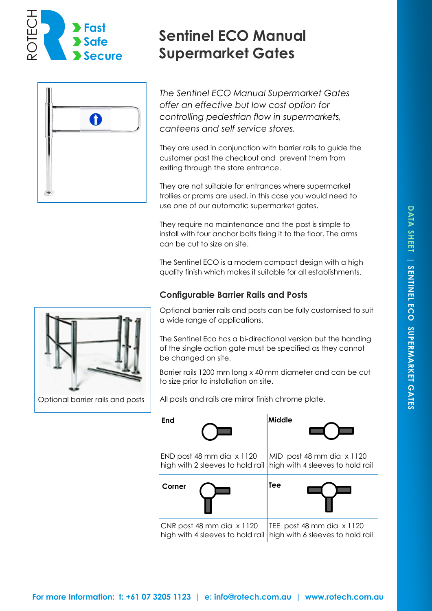



# **Sentinel ECO Manual Supermarket Gates**

*The Sentinel ECO Manual Supermarket Gates offer an effective but low cost option for controlling pedestrian flow in supermarkets, canteens and self service stores.* 

They are used in conjunction with barrier rails to guide the customer past the checkout and prevent them from exiting through the store entrance.

They are not suitable for entrances where supermarket trollies or prams are used, in this case you would need to use one of our automatic supermarket gates.

They require no maintenance and the post is simple to install with four anchor bolts fixing it to the floor. The arms can be cut to size on site.

The Sentinel ECO is a modern compact design with a high quality finish which makes it suitable for all establishments.

# **Configurable Barrier Rails and Posts**



Optional barrier rails and posts

Optional barrier rails and posts can be fully customised to suit a wide range of applications.

The Sentinel Eco has a bi-directional version but the handing of the single action gate must be specified as they cannot be changed on site.

Barrier rails 1200 mm long x 40 mm diameter and can be cut to size prior to installation on site.

All posts and rails are mirror finish chrome plate.

| End                              | Middle                           |
|----------------------------------|----------------------------------|
| END post 48 mm dia x 1120        | MID post 48 mm dia x 1120        |
| high with 2 sleeves to hold rail | high with 4 sleeves to hold rail |
| Corner                           | Tee                              |
| CNR post 48 mm dia x 1120        | TEE post 48 mm dia $\times$ 1120 |
| high with 4 sleeves to hold rail | high with 6 sleeves to hold rail |